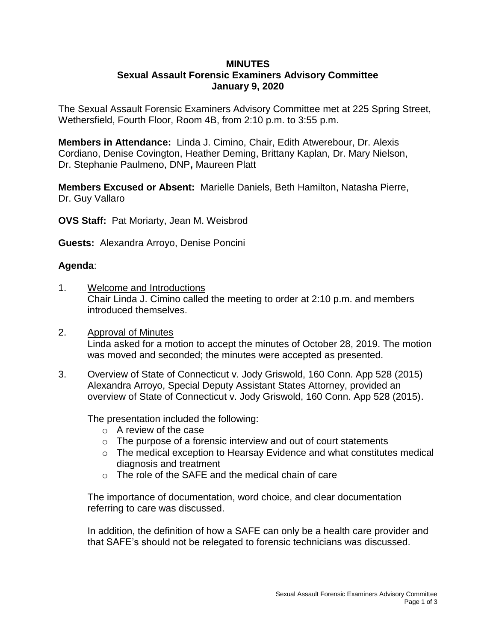## **MINUTES**

## **Sexual Assault Forensic Examiners Advisory Committee January 9, 2020**

The Sexual Assault Forensic Examiners Advisory Committee met at 225 Spring Street, Wethersfield, Fourth Floor, Room 4B, from 2:10 p.m. to 3:55 p.m.

**Members in Attendance:** Linda J. Cimino, Chair, Edith Atwerebour, Dr. Alexis Cordiano, Denise Covington, Heather Deming, Brittany Kaplan, Dr. Mary Nielson, Dr. Stephanie Paulmeno, DNP**,** Maureen Platt

**Members Excused or Absent:** Marielle Daniels, Beth Hamilton, Natasha Pierre, Dr. Guy Vallaro

**OVS Staff:** Pat Moriarty, Jean M. Weisbrod

**Guests:** Alexandra Arroyo, Denise Poncini

## **Agenda**:

- 1. Welcome and Introductions Chair Linda J. Cimino called the meeting to order at 2:10 p.m. and members introduced themselves.
- 2. Approval of Minutes Linda asked for a motion to accept the minutes of October 28, 2019. The motion was moved and seconded; the minutes were accepted as presented.
- 3. Overview of State of Connecticut v. Jody Griswold, 160 Conn. App 528 (2015) Alexandra Arroyo, Special Deputy Assistant States Attorney, provided an overview of State of Connecticut v. Jody Griswold, 160 Conn. App 528 (2015).

The presentation included the following:

- o A review of the case
- $\circ$  The purpose of a forensic interview and out of court statements
- o The medical exception to Hearsay Evidence and what constitutes medical diagnosis and treatment
- o The role of the SAFE and the medical chain of care

The importance of documentation, word choice, and clear documentation referring to care was discussed.

In addition, the definition of how a SAFE can only be a health care provider and that SAFE's should not be relegated to forensic technicians was discussed.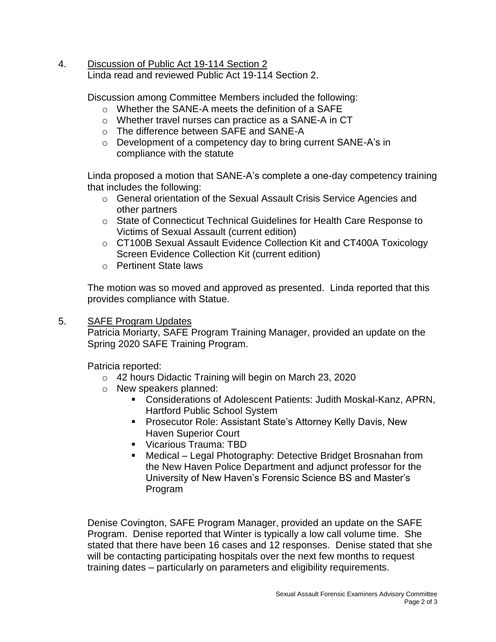4. Discussion of Public Act 19-114 Section 2 Linda read and reviewed Public Act 19-114 Section 2.

Discussion among Committee Members included the following:

- o Whether the SANE-A meets the definition of a SAFE
- o Whether travel nurses can practice as a SANE-A in CT
- o The difference between SAFE and SANE-A
- o Development of a competency day to bring current SANE-A's in compliance with the statute

Linda proposed a motion that SANE-A's complete a one-day competency training that includes the following:

- o General orientation of the Sexual Assault Crisis Service Agencies and other partners
- o State of Connecticut Technical Guidelines for Health Care Response to Victims of Sexual Assault (current edition)
- o CT100B Sexual Assault Evidence Collection Kit and CT400A Toxicology Screen Evidence Collection Kit (current edition)
- o Pertinent State laws

The motion was so moved and approved as presented. Linda reported that this provides compliance with Statue.

5. SAFE Program Updates

Patricia Moriarty, SAFE Program Training Manager, provided an update on the Spring 2020 SAFE Training Program.

Patricia reported:

- o 42 hours Didactic Training will begin on March 23, 2020
- o New speakers planned:
	- Considerations of Adolescent Patients: Judith Moskal-Kanz, APRN, Hartford Public School System
	- **Prosecutor Role: Assistant State's Attorney Kelly Davis, New** Haven Superior Court
	- **Vicarious Trauma: TBD**
	- Medical Legal Photography: Detective Bridget Brosnahan from the New Haven Police Department and adjunct professor for the University of New Haven's Forensic Science BS and Master's Program

Denise Covington, SAFE Program Manager, provided an update on the SAFE Program. Denise reported that Winter is typically a low call volume time. She stated that there have been 16 cases and 12 responses. Denise stated that she will be contacting participating hospitals over the next few months to request training dates – particularly on parameters and eligibility requirements.